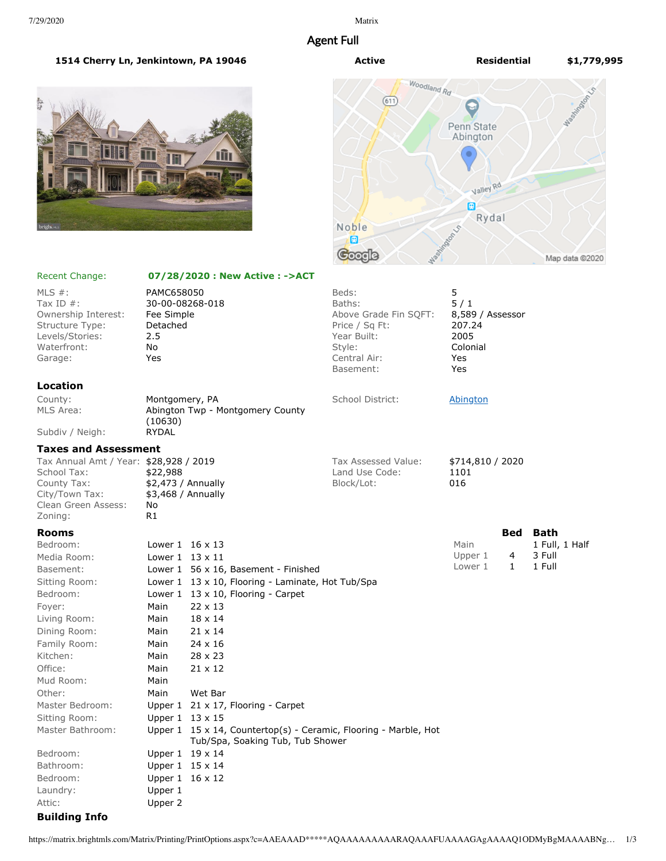# Agent Full





### Recent Change: **07/28/2020 : New Active : ->ACT**

| MLS $#$ :<br>Tax ID $#$ :<br>Ownership Interest:<br>Structure Type:<br>Levels/Stories:<br>Waterfront:<br>Garage:         | PAMC658050<br>30-00-08268-018<br>Fee Simple<br>Detached<br>2.5<br>No<br>Yes |                                                                            | Beds:<br>Baths:<br>Above Grade Fin SQFT:<br>Price / Sq Ft:<br>Year Built:<br>Style:<br>Central Air:<br>Basement: | 5<br>5/1<br>8,589 / Assessor<br>207.24<br>2005<br>Colonial<br>Yes<br>Yes |              |                 |
|--------------------------------------------------------------------------------------------------------------------------|-----------------------------------------------------------------------------|----------------------------------------------------------------------------|------------------------------------------------------------------------------------------------------------------|--------------------------------------------------------------------------|--------------|-----------------|
| Location                                                                                                                 |                                                                             |                                                                            |                                                                                                                  |                                                                          |              |                 |
| County:<br>MLS Area:                                                                                                     | Montgomery, PA<br>Abington Twp - Montgomery County<br>(10630)               |                                                                            | School District:                                                                                                 | <b>Abington</b>                                                          |              |                 |
| Subdiv / Neigh:                                                                                                          | <b>RYDAL</b>                                                                |                                                                            |                                                                                                                  |                                                                          |              |                 |
| <b>Taxes and Assessment</b>                                                                                              |                                                                             |                                                                            |                                                                                                                  |                                                                          |              |                 |
| Tax Annual Amt / Year: \$28,928 / 2019<br>School Tax:<br>County Tax:<br>City/Town Tax:<br>Clean Green Assess:<br>Zoning: | \$22,988<br>No<br>R1                                                        | $$2,473$ / Annually<br>\$3,468 / Annually                                  | Tax Assessed Value:<br>Land Use Code:<br>Block/Lot:                                                              | \$714,810 / 2020<br>1101<br>016                                          |              |                 |
| <b>Rooms</b>                                                                                                             |                                                                             |                                                                            |                                                                                                                  |                                                                          |              | <b>Bed Bath</b> |
| Bedroom:                                                                                                                 |                                                                             | Lower $1 \t16 \times 13$                                                   |                                                                                                                  | Main                                                                     |              | 1 Full, 1 Half  |
| Media Room:                                                                                                              | Lower $1 \t13 \times 11$                                                    |                                                                            |                                                                                                                  | Upper 1                                                                  | 4            | 3 Full          |
| Basement:                                                                                                                |                                                                             | Lower 1 56 x 16, Basement - Finished                                       |                                                                                                                  | Lower 1                                                                  | $\mathbf{1}$ | 1 Full          |
| Sitting Room:                                                                                                            |                                                                             | Lower 1 13 x 10, Flooring - Laminate, Hot Tub/Spa                          |                                                                                                                  |                                                                          |              |                 |
| Bedroom:                                                                                                                 |                                                                             | Lower $1 \quad 13 \times 10$ , Flooring - Carpet                           |                                                                                                                  |                                                                          |              |                 |
| Foyer:                                                                                                                   | Main                                                                        | $22 \times 13$                                                             |                                                                                                                  |                                                                          |              |                 |
| Living Room:                                                                                                             | Main                                                                        | 18 x 14                                                                    |                                                                                                                  |                                                                          |              |                 |
| Dining Room:                                                                                                             | Main                                                                        | $21 \times 14$                                                             |                                                                                                                  |                                                                          |              |                 |
| Family Room:                                                                                                             | Main                                                                        | 24 x 16                                                                    |                                                                                                                  |                                                                          |              |                 |
| Kitchen:                                                                                                                 | Main                                                                        | $28 \times 23$                                                             |                                                                                                                  |                                                                          |              |                 |
| Office:                                                                                                                  | Main                                                                        | $21 \times 12$                                                             |                                                                                                                  |                                                                          |              |                 |
| Mud Room:                                                                                                                | Main                                                                        |                                                                            |                                                                                                                  |                                                                          |              |                 |
| Other:                                                                                                                   | Main                                                                        | Wet Bar                                                                    |                                                                                                                  |                                                                          |              |                 |
| Master Bedroom:                                                                                                          |                                                                             | Upper $1 \quad 21 \times 17$ , Flooring - Carpet                           |                                                                                                                  |                                                                          |              |                 |
| Sitting Room:                                                                                                            |                                                                             | Upper $1 \t13 \times 15$                                                   |                                                                                                                  |                                                                          |              |                 |
| Master Bathroom:                                                                                                         |                                                                             | Upper $1 \t15 \times 14$ , Countertop(s) - Ceramic, Flooring - Marble, Hot |                                                                                                                  |                                                                          |              |                 |
| Bedroom:                                                                                                                 |                                                                             | Tub/Spa, Soaking Tub, Tub Shower                                           |                                                                                                                  |                                                                          |              |                 |
|                                                                                                                          |                                                                             | Upper 1 19 x 14                                                            |                                                                                                                  |                                                                          |              |                 |
| Bathroom:                                                                                                                |                                                                             | Upper $1 \t15 \times 14$<br>Upper 1 16 x 12                                |                                                                                                                  |                                                                          |              |                 |
| Bedroom:<br>Laundry:                                                                                                     | Upper 1                                                                     |                                                                            |                                                                                                                  |                                                                          |              |                 |
| Attic:                                                                                                                   | Upper 2                                                                     |                                                                            |                                                                                                                  |                                                                          |              |                 |
|                                                                                                                          |                                                                             |                                                                            |                                                                                                                  |                                                                          |              |                 |
| <b>Building Info</b>                                                                                                     |                                                                             |                                                                            |                                                                                                                  |                                                                          |              |                 |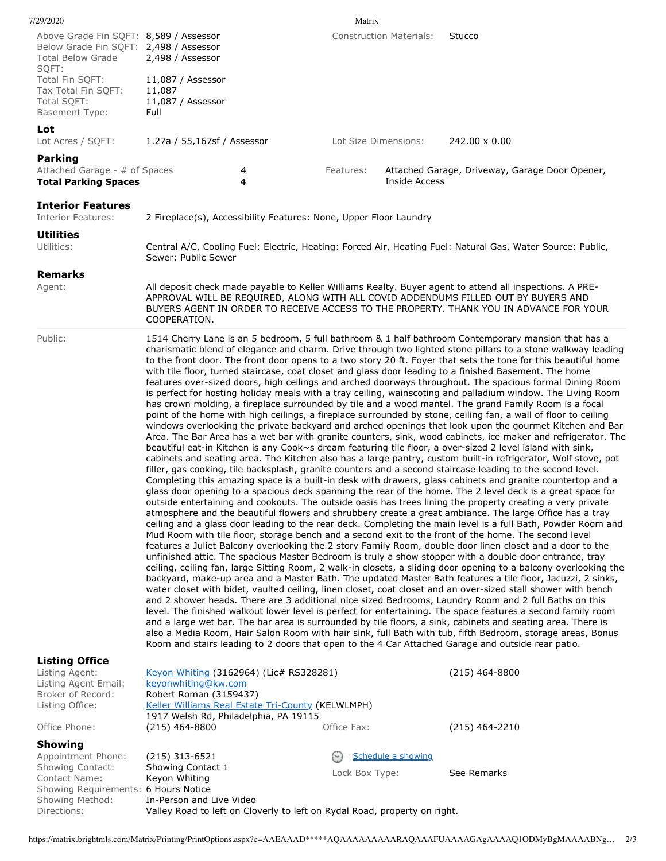| 7/29/2020                                                                                                             |                                                                                                                                                                                                                                                                                                                                                                                                                                                                                                                                                                                                                                                                                                                                                                                                                                                                                                                                                                                                                                                                                                                                                                                                                                                                                                                                                                                                                                                                                                                                                                                                                                                                                                                                                                                                                                                                                                                                                                                                                                                                                                                                                                                                                                                                                                                                                                                                                                                                                                                                                                                                                                                                                                                                                                                                                                                                                                                                                                                                                                                                                                                                                                                           |        | Matrix         |                                |                                                                                                            |  |  |
|-----------------------------------------------------------------------------------------------------------------------|-------------------------------------------------------------------------------------------------------------------------------------------------------------------------------------------------------------------------------------------------------------------------------------------------------------------------------------------------------------------------------------------------------------------------------------------------------------------------------------------------------------------------------------------------------------------------------------------------------------------------------------------------------------------------------------------------------------------------------------------------------------------------------------------------------------------------------------------------------------------------------------------------------------------------------------------------------------------------------------------------------------------------------------------------------------------------------------------------------------------------------------------------------------------------------------------------------------------------------------------------------------------------------------------------------------------------------------------------------------------------------------------------------------------------------------------------------------------------------------------------------------------------------------------------------------------------------------------------------------------------------------------------------------------------------------------------------------------------------------------------------------------------------------------------------------------------------------------------------------------------------------------------------------------------------------------------------------------------------------------------------------------------------------------------------------------------------------------------------------------------------------------------------------------------------------------------------------------------------------------------------------------------------------------------------------------------------------------------------------------------------------------------------------------------------------------------------------------------------------------------------------------------------------------------------------------------------------------------------------------------------------------------------------------------------------------------------------------------------------------------------------------------------------------------------------------------------------------------------------------------------------------------------------------------------------------------------------------------------------------------------------------------------------------------------------------------------------------------------------------------------------------------------------------------------------------|--------|----------------|--------------------------------|------------------------------------------------------------------------------------------------------------|--|--|
| Above Grade Fin SQFT: 8,589 / Assessor<br>Below Grade Fin SQFT: 2,498 / Assessor<br><b>Total Below Grade</b><br>SQFT: | 2,498 / Assessor                                                                                                                                                                                                                                                                                                                                                                                                                                                                                                                                                                                                                                                                                                                                                                                                                                                                                                                                                                                                                                                                                                                                                                                                                                                                                                                                                                                                                                                                                                                                                                                                                                                                                                                                                                                                                                                                                                                                                                                                                                                                                                                                                                                                                                                                                                                                                                                                                                                                                                                                                                                                                                                                                                                                                                                                                                                                                                                                                                                                                                                                                                                                                                          |        |                | <b>Construction Materials:</b> | Stucco                                                                                                     |  |  |
| Total Fin SQFT:<br>Tax Total Fin SQFT:<br>Total SQFT:<br><b>Basement Type:</b>                                        | 11,087 / Assessor<br>11,087<br>11,087 / Assessor<br>Full                                                                                                                                                                                                                                                                                                                                                                                                                                                                                                                                                                                                                                                                                                                                                                                                                                                                                                                                                                                                                                                                                                                                                                                                                                                                                                                                                                                                                                                                                                                                                                                                                                                                                                                                                                                                                                                                                                                                                                                                                                                                                                                                                                                                                                                                                                                                                                                                                                                                                                                                                                                                                                                                                                                                                                                                                                                                                                                                                                                                                                                                                                                                  |        |                |                                |                                                                                                            |  |  |
| Lot<br>Lot Acres / SQFT:                                                                                              | 1.27a / 55,167sf / Assessor                                                                                                                                                                                                                                                                                                                                                                                                                                                                                                                                                                                                                                                                                                                                                                                                                                                                                                                                                                                                                                                                                                                                                                                                                                                                                                                                                                                                                                                                                                                                                                                                                                                                                                                                                                                                                                                                                                                                                                                                                                                                                                                                                                                                                                                                                                                                                                                                                                                                                                                                                                                                                                                                                                                                                                                                                                                                                                                                                                                                                                                                                                                                                               |        |                | Lot Size Dimensions:           | 242.00 x 0.00                                                                                              |  |  |
| <b>Parking</b><br>Attached Garage - # of Spaces<br><b>Total Parking Spaces</b>                                        |                                                                                                                                                                                                                                                                                                                                                                                                                                                                                                                                                                                                                                                                                                                                                                                                                                                                                                                                                                                                                                                                                                                                                                                                                                                                                                                                                                                                                                                                                                                                                                                                                                                                                                                                                                                                                                                                                                                                                                                                                                                                                                                                                                                                                                                                                                                                                                                                                                                                                                                                                                                                                                                                                                                                                                                                                                                                                                                                                                                                                                                                                                                                                                                           | 4<br>4 | Features:      | Inside Access                  | Attached Garage, Driveway, Garage Door Opener,                                                             |  |  |
| <b>Interior Features</b><br><b>Interior Features:</b>                                                                 | 2 Fireplace(s), Accessibility Features: None, Upper Floor Laundry                                                                                                                                                                                                                                                                                                                                                                                                                                                                                                                                                                                                                                                                                                                                                                                                                                                                                                                                                                                                                                                                                                                                                                                                                                                                                                                                                                                                                                                                                                                                                                                                                                                                                                                                                                                                                                                                                                                                                                                                                                                                                                                                                                                                                                                                                                                                                                                                                                                                                                                                                                                                                                                                                                                                                                                                                                                                                                                                                                                                                                                                                                                         |        |                |                                |                                                                                                            |  |  |
| Utilities<br>Utilities:                                                                                               | Sewer: Public Sewer                                                                                                                                                                                                                                                                                                                                                                                                                                                                                                                                                                                                                                                                                                                                                                                                                                                                                                                                                                                                                                                                                                                                                                                                                                                                                                                                                                                                                                                                                                                                                                                                                                                                                                                                                                                                                                                                                                                                                                                                                                                                                                                                                                                                                                                                                                                                                                                                                                                                                                                                                                                                                                                                                                                                                                                                                                                                                                                                                                                                                                                                                                                                                                       |        |                |                                | Central A/C, Cooling Fuel: Electric, Heating: Forced Air, Heating Fuel: Natural Gas, Water Source: Public, |  |  |
| <b>Remarks</b><br>Agent:                                                                                              | All deposit check made payable to Keller Williams Realty. Buyer agent to attend all inspections. A PRE-<br>APPROVAL WILL BE REQUIRED, ALONG WITH ALL COVID ADDENDUMS FILLED OUT BY BUYERS AND<br>BUYERS AGENT IN ORDER TO RECEIVE ACCESS TO THE PROPERTY. THANK YOU IN ADVANCE FOR YOUR<br>COOPERATION.                                                                                                                                                                                                                                                                                                                                                                                                                                                                                                                                                                                                                                                                                                                                                                                                                                                                                                                                                                                                                                                                                                                                                                                                                                                                                                                                                                                                                                                                                                                                                                                                                                                                                                                                                                                                                                                                                                                                                                                                                                                                                                                                                                                                                                                                                                                                                                                                                                                                                                                                                                                                                                                                                                                                                                                                                                                                                   |        |                |                                |                                                                                                            |  |  |
| Public:                                                                                                               | 1514 Cherry Lane is an 5 bedroom, 5 full bathroom & 1 half bathroom Contemporary mansion that has a<br>charismatic blend of elegance and charm. Drive through two lighted stone pillars to a stone walkway leading<br>to the front door. The front door opens to a two story 20 ft. Foyer that sets the tone for this beautiful home<br>with tile floor, turned staircase, coat closet and glass door leading to a finished Basement. The home<br>features over-sized doors, high ceilings and arched doorways throughout. The spacious formal Dining Room<br>is perfect for hosting holiday meals with a tray ceiling, wainscoting and palladium window. The Living Room<br>has crown molding, a fireplace surrounded by tile and a wood mantel. The grand Family Room is a focal<br>point of the home with high ceilings, a fireplace surrounded by stone, ceiling fan, a wall of floor to ceiling<br>windows overlooking the private backyard and arched openings that look upon the gourmet Kitchen and Bar<br>Area. The Bar Area has a wet bar with granite counters, sink, wood cabinets, ice maker and refrigerator. The<br>beautiful eat-in Kitchen is any Cook~s dream featuring tile floor, a over-sized 2 level island with sink,<br>cabinets and seating area. The Kitchen also has a large pantry, custom built-in refrigerator, Wolf stove, pot<br>filler, gas cooking, tile backsplash, granite counters and a second staircase leading to the second level.<br>Completing this amazing space is a built-in desk with drawers, glass cabinets and granite countertop and a<br>glass door opening to a spacious deck spanning the rear of the home. The 2 level deck is a great space for<br>outside entertaining and cookouts. The outside oasis has trees lining the property creating a very private<br>atmosphere and the beautiful flowers and shrubbery create a great ambiance. The large Office has a tray<br>ceiling and a glass door leading to the rear deck. Completing the main level is a full Bath, Powder Room and<br>Mud Room with tile floor, storage bench and a second exit to the front of the home. The second level<br>features a Juliet Balcony overlooking the 2 story Family Room, double door linen closet and a door to the<br>unfinished attic. The spacious Master Bedroom is truly a show stopper with a double door entrance, tray<br>ceiling, ceiling fan, large Sitting Room, 2 walk-in closets, a sliding door opening to a balcony overlooking the<br>backyard, make-up area and a Master Bath. The updated Master Bath features a tile floor, Jacuzzi, 2 sinks,<br>water closet with bidet, vaulted ceiling, linen closet, coat closet and an over-sized stall shower with bench<br>and 2 shower heads. There are 3 additional nice sized Bedrooms, Laundry Room and 2 full Baths on this<br>level. The finished walkout lower level is perfect for entertaining. The space features a second family room<br>and a large wet bar. The bar area is surrounded by tile floors, a sink, cabinets and seating area. There is<br>also a Media Room, Hair Salon Room with hair sink, full Bath with tub, fifth Bedroom, storage areas, Bonus |        |                |                                |                                                                                                            |  |  |
| <b>Listing Office</b><br>Listing Agent:<br>Listing Agent Email:<br>Broker of Record:                                  | Keyon Whiting (3162964) (Lic# RS328281)<br>keyonwhiting@kw.com<br>Robert Roman (3159437)                                                                                                                                                                                                                                                                                                                                                                                                                                                                                                                                                                                                                                                                                                                                                                                                                                                                                                                                                                                                                                                                                                                                                                                                                                                                                                                                                                                                                                                                                                                                                                                                                                                                                                                                                                                                                                                                                                                                                                                                                                                                                                                                                                                                                                                                                                                                                                                                                                                                                                                                                                                                                                                                                                                                                                                                                                                                                                                                                                                                                                                                                                  |        |                |                                | $(215)$ 464-8800                                                                                           |  |  |
| Listing Office:<br>Office Phone:                                                                                      | Keller Williams Real Estate Tri-County (KELWLMPH)<br>1917 Welsh Rd, Philadelphia, PA 19115<br>$(215)$ 464-8800                                                                                                                                                                                                                                                                                                                                                                                                                                                                                                                                                                                                                                                                                                                                                                                                                                                                                                                                                                                                                                                                                                                                                                                                                                                                                                                                                                                                                                                                                                                                                                                                                                                                                                                                                                                                                                                                                                                                                                                                                                                                                                                                                                                                                                                                                                                                                                                                                                                                                                                                                                                                                                                                                                                                                                                                                                                                                                                                                                                                                                                                            |        | Office Fax:    |                                | $(215)$ 464-2210                                                                                           |  |  |
| <b>Showing</b>                                                                                                        |                                                                                                                                                                                                                                                                                                                                                                                                                                                                                                                                                                                                                                                                                                                                                                                                                                                                                                                                                                                                                                                                                                                                                                                                                                                                                                                                                                                                                                                                                                                                                                                                                                                                                                                                                                                                                                                                                                                                                                                                                                                                                                                                                                                                                                                                                                                                                                                                                                                                                                                                                                                                                                                                                                                                                                                                                                                                                                                                                                                                                                                                                                                                                                                           |        |                |                                |                                                                                                            |  |  |
| Appointment Phone:<br>Showing Contact:                                                                                | $(215)$ 313-6521<br>Showing Contact 1                                                                                                                                                                                                                                                                                                                                                                                                                                                                                                                                                                                                                                                                                                                                                                                                                                                                                                                                                                                                                                                                                                                                                                                                                                                                                                                                                                                                                                                                                                                                                                                                                                                                                                                                                                                                                                                                                                                                                                                                                                                                                                                                                                                                                                                                                                                                                                                                                                                                                                                                                                                                                                                                                                                                                                                                                                                                                                                                                                                                                                                                                                                                                     |        |                | Schedule a showing             |                                                                                                            |  |  |
| Contact Name:                                                                                                         | Keyon Whiting                                                                                                                                                                                                                                                                                                                                                                                                                                                                                                                                                                                                                                                                                                                                                                                                                                                                                                                                                                                                                                                                                                                                                                                                                                                                                                                                                                                                                                                                                                                                                                                                                                                                                                                                                                                                                                                                                                                                                                                                                                                                                                                                                                                                                                                                                                                                                                                                                                                                                                                                                                                                                                                                                                                                                                                                                                                                                                                                                                                                                                                                                                                                                                             |        | Lock Box Type: |                                | See Remarks                                                                                                |  |  |

Showing Method: In-Person and Live Video Directions: Valley Road to left on Cloverly to left on Rydal Road, property on right.

Showing Requirements: 6 Hours Notice